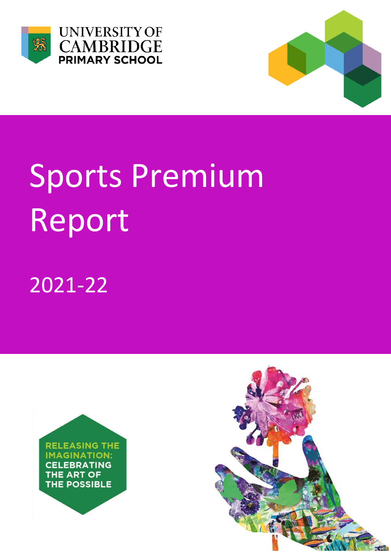



## Sports Premium Report

2021-22



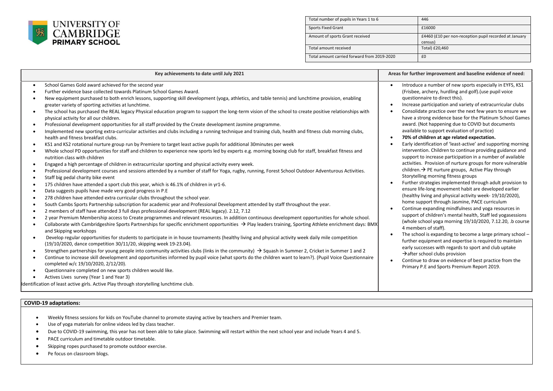

| Total number of pupils in Years 1 to 6      | 446                                                               |
|---------------------------------------------|-------------------------------------------------------------------|
| <b>Sports Fixed Grant</b>                   | £16000                                                            |
| Amount of sports Grant received             | £4460 (£10 per non-reception pupil recorded at January<br>census) |
| Total amount received                       | Total) £20,460                                                    |
| Total amount carried forward from 2019-2020 | £0                                                                |

| Key achievements to date until July 2021                                                                                                                                                                                                                                                                                                                                                                                                                                                                                                                                                                                                                                                                                                                                                                                                                                                                                                                                                                                                                                                                                                                                                                                                                                                                                                                                                                                                                                                                                                                                                                                                                                                                                                                                                                                                                                                                                                                                                                                                                                                                                                                                                                                                                                                                                                                                                                                                                                                                                                                                                                                                                                                                                                                                                                                                                                                                                                                                                                                                                                                                                                                                                                                                                                                                                                                        | Areas for further improvement and baseline evidence of need:                                                                                                                                                                                                                                                                                                                                                                                                                                                                                                                                                                                                                                                                                                                                                                                                                                                                                                                                                                                                                                                                                                                                                                                                                                                                                                                                                                                                                                                                                                                                                                                                                                                                                             |
|-----------------------------------------------------------------------------------------------------------------------------------------------------------------------------------------------------------------------------------------------------------------------------------------------------------------------------------------------------------------------------------------------------------------------------------------------------------------------------------------------------------------------------------------------------------------------------------------------------------------------------------------------------------------------------------------------------------------------------------------------------------------------------------------------------------------------------------------------------------------------------------------------------------------------------------------------------------------------------------------------------------------------------------------------------------------------------------------------------------------------------------------------------------------------------------------------------------------------------------------------------------------------------------------------------------------------------------------------------------------------------------------------------------------------------------------------------------------------------------------------------------------------------------------------------------------------------------------------------------------------------------------------------------------------------------------------------------------------------------------------------------------------------------------------------------------------------------------------------------------------------------------------------------------------------------------------------------------------------------------------------------------------------------------------------------------------------------------------------------------------------------------------------------------------------------------------------------------------------------------------------------------------------------------------------------------------------------------------------------------------------------------------------------------------------------------------------------------------------------------------------------------------------------------------------------------------------------------------------------------------------------------------------------------------------------------------------------------------------------------------------------------------------------------------------------------------------------------------------------------------------------------------------------------------------------------------------------------------------------------------------------------------------------------------------------------------------------------------------------------------------------------------------------------------------------------------------------------------------------------------------------------------------------------------------------------------------------------------------------------|----------------------------------------------------------------------------------------------------------------------------------------------------------------------------------------------------------------------------------------------------------------------------------------------------------------------------------------------------------------------------------------------------------------------------------------------------------------------------------------------------------------------------------------------------------------------------------------------------------------------------------------------------------------------------------------------------------------------------------------------------------------------------------------------------------------------------------------------------------------------------------------------------------------------------------------------------------------------------------------------------------------------------------------------------------------------------------------------------------------------------------------------------------------------------------------------------------------------------------------------------------------------------------------------------------------------------------------------------------------------------------------------------------------------------------------------------------------------------------------------------------------------------------------------------------------------------------------------------------------------------------------------------------------------------------------------------------------------------------------------------------|
| School Games Gold award achieved for the second year<br>$\bullet$<br>Further evidence base collected towards Platinum School Games Award.<br>New equipment purchased to both enrich lessons, supporting skill development (yoga, athletics, and table tennis) and lunchtime provision, enabling<br>$\bullet$<br>greater variety of sporting activities at lunchtime.<br>The school has purchased the REAL legacy Physical education program to support the long-term vision of the school to create positive relationships with<br>physical activity for all our children.<br>Professional development opportunities for all staff provided by the Create development Jasmine programme.<br>$\bullet$<br>Implemented new sporting extra-curricular activities and clubs including a running technique and training club, health and fitness club morning clubs,<br>$\bullet$<br>health and fitness breakfast clubs.<br>KS1 and KS2 rotational nurture group run by Premiere to target least active pupils for additional 30minutes per week<br>$\bullet$<br>Whole school PD opportunities for staff and children to experience new sports led by experts e.g. morning boxing club for staff, breakfast fitness and<br>nutrition class with children<br>Engaged a high percentage of children in extracurricular sporting and physical activity every week.<br>$\bullet$<br>Professional development courses and sessions attended by a number of staff for Yoga, rugby, running, Forest School Outdoor Adventurous Activities.<br>$\bullet$<br>Staff big pedal charity bike event<br>$\bullet$<br>175 children have attended a sport club this year, which is 46.1% of children in yr1-6.<br>$\bullet$<br>Data suggests pupils have made very good progress in P.E.<br>$\bullet$<br>278 children have attended extra curricular clubs throughout the school year.<br>South Cambs Sports Partnership subscription for academic year and Professional Development attended by staff throughout the year.<br>$\bullet$<br>2 members of staff have attended 3 full days professional development (REAL legacy). 2.12, 7.12<br>$\bullet$<br>2 year Premium Membership access to Create programmes and relevant resources. In addition continuous development opportunities for whole school.<br>$\bullet$<br>Collaborate with Cambridgeshire Sports Partnerships for specific enrichment opportunities $\rightarrow$ Play leaders training, Sporting Athlete enrichment days: BMX<br>and Skipping workshops<br>Develop regular opportunities for students to participate in in house tournaments (healthy living and physical activity week daily mile competition<br>$\bullet$<br>(19/10/2020, dance competition 30/11/20, skipping week 19-23.04).<br>Strengthen partnerships for young people into community activities clubs (links in the community) $\rightarrow$ Squash in Summer 2, Cricket in Summer 1 and 2<br>$\bullet$<br>Continue to increase skill development and opportunities informed by pupil voice (what sports do the children want to learn?). (Pupil Voice Questionnaire<br>$\bullet$<br>completed w/c 19/10/2020, 2/12/20).<br>Questionnaire completed on new sports children would like.<br>$\bullet$<br>Actives Lives survey (Year 1 and Year 3)<br>Identification of least active girls. Active Play through storytelling lunchtime club. | Introduce a number of new sports especially in EYFS, KS1<br>(Frisbee, archery, hurdling and golf). (use pupil voice<br>questionnaire to direct this).<br>Increase participation and variety of extracurricular clubs<br>$\bullet$<br>Consolidate practice over the next few years to ensure we<br>$\bullet$<br>have a strong evidence base for the Platinum School Games<br>award. (Not happening due to COVID but documents<br>available to support evaluation of practice)<br>70% of children at age related expectation.<br>$\bullet$<br>Early identification of 'least-active' and supporting morning<br>$\bullet$<br>intervention. Children to continue providing guidance and<br>support to increase participation in a number of available<br>activities. Provision of nurture groups for more vulnerable<br>children. → PE nurture groups, Active Play through<br>Storytelling morning fitness groups<br>Further strategies implemented through adult provision to<br>$\bullet$<br>ensure life-long movement habit are developed earlier<br>(healthy living and physical activity week-19/10/2020),<br>home support through Jasmine, PACE curriculum<br>Continue expanding mindfulness and yoga resources in<br>$\bullet$<br>support of children's mental health, Staff led yogasessions<br>(whole school yoga morning 19/10/2020, 7.12.20, .b course<br>4 members of staff).<br>The school is expanding to become a large primary school -<br>$\bullet$<br>further equipment and expertise is required to maintain<br>early successes with regards to sport and club uptake<br>$\rightarrow$ after school clubs provision<br>Continue to draw on evidence of best practice from the<br>$\bullet$<br>Primary P.E and Sports Premium Report 2019. |

## **COVID-19 adaptations:**

- Weekly fitness sessions for kids on YouTube channel to promote staying active by teachers and Premier team.
- Use of yoga materials for online videos led by class teacher.
- Due to COVID-19 swimming, this year has not been able to take place. Swimming will restart within the next school year and include Years 4 and 5.
- PACE curriculum and timetable outdoor timetable.
- Skipping ropes purchased to promote outdoor exercise.
- Pe focus on classroom blogs.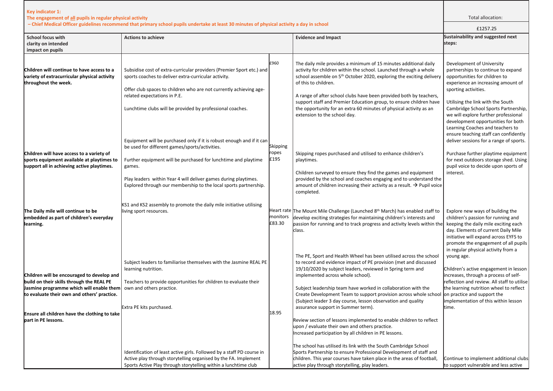| Key indicator 1:<br>The engagement of all pupils in regular physical activity                                                                                                                                                                              |                                                                                                                                                                                                                                                                                                                                            |                           |                                                                                                                                                                                                                                                                                                                                                                                                                                                                                                                                                                                                                                           | Total allocation:                                                                                                                                                                                                                                                                                                                                                                                      |
|------------------------------------------------------------------------------------------------------------------------------------------------------------------------------------------------------------------------------------------------------------|--------------------------------------------------------------------------------------------------------------------------------------------------------------------------------------------------------------------------------------------------------------------------------------------------------------------------------------------|---------------------------|-------------------------------------------------------------------------------------------------------------------------------------------------------------------------------------------------------------------------------------------------------------------------------------------------------------------------------------------------------------------------------------------------------------------------------------------------------------------------------------------------------------------------------------------------------------------------------------------------------------------------------------------|--------------------------------------------------------------------------------------------------------------------------------------------------------------------------------------------------------------------------------------------------------------------------------------------------------------------------------------------------------------------------------------------------------|
|                                                                                                                                                                                                                                                            | - Chief Medical Officer guidelines recommend that primary school pupils undertake at least 30 minutes of physical activity a day in school                                                                                                                                                                                                 |                           | £1257.25                                                                                                                                                                                                                                                                                                                                                                                                                                                                                                                                                                                                                                  |                                                                                                                                                                                                                                                                                                                                                                                                        |
| <b>School focus with</b><br>clarity on intended<br>impact on pupils                                                                                                                                                                                        | <b>Actions to achieve</b>                                                                                                                                                                                                                                                                                                                  |                           | <b>Evidence and Impact</b>                                                                                                                                                                                                                                                                                                                                                                                                                                                                                                                                                                                                                | Sustainability and suggested next<br>steps:                                                                                                                                                                                                                                                                                                                                                            |
| Children will continue to have access to a<br>variety of extracurricular physical activity<br>throughout the week.                                                                                                                                         | Subsidise cost of extra-curricular providers (Premier Sport etc.) and<br>sports coaches to deliver extra-curricular activity.<br>Offer club spaces to children who are not currently achieving age-<br>related expectations in P.E.<br>Lunchtime clubs will be provided by professional coaches.                                           | £960                      | The daily mile provides a minimum of 15 minutes additional daily<br>activity for children within the school. Launched through a whole<br>school assemble on 5 <sup>th</sup> October 2020, exploring the exciting delivery<br>of this to children.<br>A range of after school clubs have been provided both by teachers,<br>support staff and Premier Education group, to ensure children have<br>the opportunity for an extra 60 minutes of physical activity as an<br>extension to the school day.                                                                                                                                       | Development of University<br>partnerships to continue to expand<br>opportunities for children to<br>experience an increasing amount of<br>sporting activities.<br>Utilising the link with the South<br>Cambridge School Sports Partnership,<br>we will explore further professional<br>development opportunities for both<br>Learning Coaches and teachers to<br>ensure teaching staff can confidently |
| Children will have access to a variety of<br>sports equipment available at playtimes to<br>support all in achieving active playtimes.                                                                                                                      | Equipment will be purchased only if it is robust enough and if it can<br>be used for different games/sports/activities.<br>Further equipment will be purchased for lunchtime and playtime<br>games.<br>Play leaders within Year 4 will deliver games during playtimes.<br>Explored through our membership to the local sports partnership. | Skipping<br>ropes<br>£195 | Skipping ropes purchased and utilised to enhance children's<br>playtimes.<br>Children surveyed to ensure they find the games and equipment<br>provided by the school and coaches engaging and to understand the<br>amount of children increasing their activity as a result. $\rightarrow$ Pupil voice<br>completed.                                                                                                                                                                                                                                                                                                                      | deliver sessions for a range of sports.<br>Purchase further playtime equipment<br>for next outdoors storage shed. Using<br>pupil voice to decide upon sports of<br>interest.                                                                                                                                                                                                                           |
| The Daily mile will continue to be<br>embedded as part of children's everyday<br>learning.                                                                                                                                                                 | KS1 and KS2 assembly to promote the daily mile initiative utilising<br>living sport resources.                                                                                                                                                                                                                                             | monitors<br>£83.30        | Heart rate The Mount Mile Challenge (Launched 8 <sup>th</sup> March) has enabled staff to<br>develop exciting strategies for maintaining children's interests and<br>passion for running and to track progress and activity levels within the<br>class.                                                                                                                                                                                                                                                                                                                                                                                   | Explore new ways of building the<br>children's passion for running and<br>keeping the daily mile exciting each<br>day. Elements of current Daily Mile<br>initiative will expand across EYFS to<br>promote the engagement of all pupils<br>in regular physical activity from a                                                                                                                          |
| Children will be encouraged to develop and<br>build on their skills through the REAL PE<br>Jasmine programme which will enable them<br>to evaluate their own and others' practice.<br>Ensure all children have the clothing to take<br>part in PE lessons. | Subject leaders to familiarise themselves with the Jasmine REAL PE<br>learning nutrition.<br>Teachers to provide opportunities for children to evaluate their<br>own and others practice.<br>Extra PE kits purchased.                                                                                                                      | 18.95                     | The PE, Sport and Health Wheel has been utilised across the school<br>to record and evidence impact of PE provision (met and discussed<br>19/10/2020 by subject leaders, reviewed in Spring term and<br>implemented across whole school).<br>Subject leadership team have worked in collaboration with the<br>Create Development Team to support provision across whole school on practice and support the<br>(Subject leader 3 day course, lesson observation and quality<br>assurance support in Summer term).<br>Review section of lessons implemented to enable children to reflect<br>upon / evaluate their own and others practice. | young age.<br>Children's active engagement in lesson<br>increases, through a process of self-<br>reflection and review. All staff to utilise<br>the learning nutrition wheel to reflect<br>implementation of this within lesson<br>time.                                                                                                                                                               |
|                                                                                                                                                                                                                                                            | Identification of least active girls. Followed by a staff PD course in<br>Active play through storytelling organised by the FA. Implement<br>Sports Active Play through storytelling within a lunchtime club                                                                                                                               |                           | Increased participation by all children in PE lessons.<br>The school has utilised its link with the South Cambridge School<br>Sports Partnership to ensure Professional Development of staff and<br>children. This year courses have taken place in the areas of football,<br>active play through storytelling, play leaders.                                                                                                                                                                                                                                                                                                             | Continue to implement additional clubs<br>to support vulnerable and less active                                                                                                                                                                                                                                                                                                                        |

F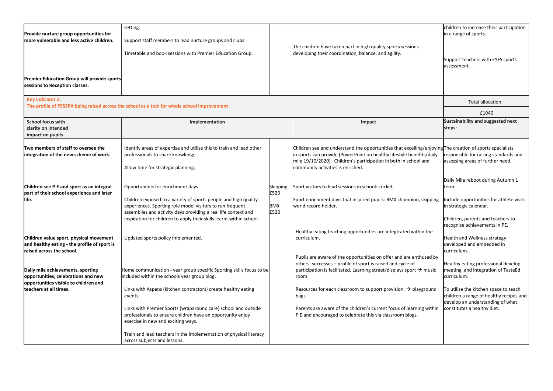| Provide nurture group opportunities for                                      | setting.                                                                                                                    |                    |                                                                                                                                           | children to increase their participation<br>in a range of sports.        |
|------------------------------------------------------------------------------|-----------------------------------------------------------------------------------------------------------------------------|--------------------|-------------------------------------------------------------------------------------------------------------------------------------------|--------------------------------------------------------------------------|
| more vulnerable and less active children.                                    | Support staff members to lead nurture groups and clubs.                                                                     |                    | The children have taken part in high quality sports sessions                                                                              |                                                                          |
|                                                                              | Timetable and book sessions with Premier Education Group.                                                                   |                    | developing their coordination, balance, and agility.                                                                                      |                                                                          |
|                                                                              |                                                                                                                             |                    |                                                                                                                                           | Support teachers with EYFS sports                                        |
|                                                                              |                                                                                                                             |                    |                                                                                                                                           | assessment.                                                              |
| <b>Premier Education Group will provide sports</b>                           |                                                                                                                             |                    |                                                                                                                                           |                                                                          |
| sessions to Reception classes.                                               |                                                                                                                             |                    |                                                                                                                                           |                                                                          |
| Key indicator 2:                                                             |                                                                                                                             |                    |                                                                                                                                           | Total allocation:                                                        |
|                                                                              | The profile of PESSPA being raised across the school as a tool for whole school improvement                                 |                    |                                                                                                                                           | £1040                                                                    |
| <b>School focus with</b>                                                     | Implementation                                                                                                              |                    | Impact                                                                                                                                    | Sustainability and suggested next                                        |
| clarity on intended                                                          |                                                                                                                             |                    |                                                                                                                                           | steps:                                                                   |
| impact on pupils                                                             |                                                                                                                             |                    |                                                                                                                                           |                                                                          |
| Two members of staff to oversee the                                          | Identify areas of expertise and utilise this to train and lead other                                                        |                    | Children see and understand the opportunities that excelling/enjoying The creation of sports specialists                                  |                                                                          |
| integration of the new scheme of work.                                       | professionals to share knowledge.                                                                                           |                    | in sports can provide (PowerPoint on healthy lifestyle benefits/daily<br>mile 19/10/2020). Children's participation in both in school and | esponsible for raising standards and<br>assessing areas of further need. |
|                                                                              | Allow time for strategic planning.                                                                                          |                    | community activities is enriched.                                                                                                         |                                                                          |
|                                                                              |                                                                                                                             |                    |                                                                                                                                           |                                                                          |
| Children see P.E and sport as an integral                                    | Opportunities for enrichment days.                                                                                          | Skipping           | Sport visitors to lead sessions in school: cricket.                                                                                       | Daily Mile reboot during Autumn 1<br>term.                               |
| part of their school experience and later                                    |                                                                                                                             | £520               |                                                                                                                                           |                                                                          |
| llife.                                                                       | Children exposed to a variety of sports people and high quality                                                             |                    | Sport enrichment days that inspired pupils: BMX champion, skipping                                                                        | Include opportunities for athlete visits                                 |
|                                                                              | experiences. Sporting role model visitors to run frequent<br>assemblies and activity days providing a real life context and | <b>BMX</b><br>£520 | world record holder.                                                                                                                      | in strategic calendar.                                                   |
|                                                                              | inspiration for children to apply their skills learnt within school.                                                        |                    |                                                                                                                                           | Children, parents and teachers to                                        |
|                                                                              |                                                                                                                             |                    |                                                                                                                                           | recognise achievements in PE.                                            |
| Children value sport, physical movement                                      | Updated sports policy implemented.                                                                                          |                    | Healthy eating teaching opportunities are integtrated within the<br>curriculum.                                                           | Health and Wellness strategy                                             |
| and healthy eating - the profile of sport is                                 |                                                                                                                             |                    |                                                                                                                                           | developed and embedded in                                                |
| raised across the school.                                                    |                                                                                                                             |                    | Pupils are aware of the opportunities on offer and are enthused by                                                                        | curriculum.                                                              |
|                                                                              |                                                                                                                             |                    | others' successes - profile of sport is raised and cycle of                                                                               | Healthy eating professional develop                                      |
| Daily mile achievements, sporting                                            | Home communication - year group specific Sporting skills focus to be                                                        |                    | participation is facilitated. Learning street/displays sport $\rightarrow$ music                                                          | meeting and integration of TasteEd                                       |
| opportunities, celebrations and new<br>opportunities visible to children and | included within the schools year group blog.                                                                                |                    | room                                                                                                                                      | curriculum.                                                              |
| lteachers at all times.                                                      | Links with Aspens (kitchen contractors) create healthy eating                                                               |                    | Resources for each classroom to support provision. $\rightarrow$ playground                                                               | To utilise the kitchen space to teach                                    |
|                                                                              | events.                                                                                                                     |                    | bags                                                                                                                                      | children a range of healthy recipes and                                  |
|                                                                              | Links with Premier Sports (wraparound care) school and outside                                                              |                    | Parents are aware of the children's current focus of learning within                                                                      | develop an understanding of what<br>constitutes a healthy diet.          |
|                                                                              | professionals to ensure children have an opportunity enjoy                                                                  |                    | P.E and encouraged to celebrate this via classroom blogs.                                                                                 |                                                                          |
|                                                                              | exercise in new and exciting ways.                                                                                          |                    |                                                                                                                                           |                                                                          |
|                                                                              | Train and lead teachers in the implementation of physical literacy                                                          |                    |                                                                                                                                           |                                                                          |
|                                                                              | across subjects and lessons.                                                                                                |                    |                                                                                                                                           |                                                                          |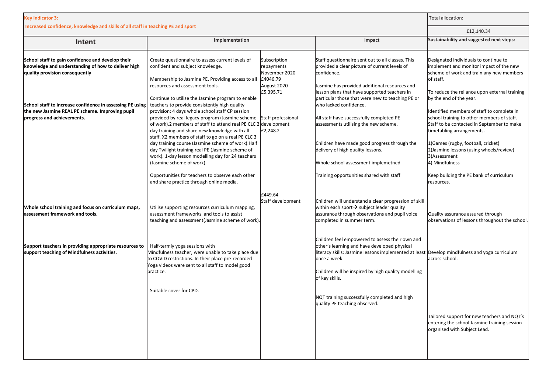| <b>Key indicator 3:</b>                                                                                                                                                                                                                                                                 | Total allocation:                                                                                                                                                                                                                                                                                                                                                                                                                                                                                            |                                                                                                                       |                                                                                                                                                                                                                                                                                                                                                                                       |                                                                                                                                                                                                                                                                                                                                                                                              |
|-----------------------------------------------------------------------------------------------------------------------------------------------------------------------------------------------------------------------------------------------------------------------------------------|--------------------------------------------------------------------------------------------------------------------------------------------------------------------------------------------------------------------------------------------------------------------------------------------------------------------------------------------------------------------------------------------------------------------------------------------------------------------------------------------------------------|-----------------------------------------------------------------------------------------------------------------------|---------------------------------------------------------------------------------------------------------------------------------------------------------------------------------------------------------------------------------------------------------------------------------------------------------------------------------------------------------------------------------------|----------------------------------------------------------------------------------------------------------------------------------------------------------------------------------------------------------------------------------------------------------------------------------------------------------------------------------------------------------------------------------------------|
| Increased confidence, knowledge and skills of all staff in teaching PE and sport                                                                                                                                                                                                        | £12,140.34                                                                                                                                                                                                                                                                                                                                                                                                                                                                                                   |                                                                                                                       |                                                                                                                                                                                                                                                                                                                                                                                       |                                                                                                                                                                                                                                                                                                                                                                                              |
| Intent                                                                                                                                                                                                                                                                                  | Implementation                                                                                                                                                                                                                                                                                                                                                                                                                                                                                               |                                                                                                                       | Impact                                                                                                                                                                                                                                                                                                                                                                                | Sustainability and suggested next steps:                                                                                                                                                                                                                                                                                                                                                     |
| School staff to gain confidence and develop their<br>knowledge and understanding of how to deliver high<br>quality provision consequently<br>School staff to increase confidence in assessing PE using<br>the new Jasmine REAL PE scheme. Improving pupil<br>progress and achievements. | Create questionnaire to assess current levels of<br>confident and subject knowledge.<br>Membership to Jasmine PE. Providing access to all<br>resources and assessment tools.<br>Continue to utilise the Jasmine program to enable<br>teachers to provide consistently high quality<br>provision: 4 days whole school staff CP session<br>provided by real legacy program (Jasmine scheme<br>of work).2 members of staff to attend real PE CLC 2 development<br>day training and share new knowledge with all | Subscription<br>repayments<br>November 2020<br>£4046.79<br>August 2020<br>£5,395.71<br>Staff professional<br>£2,248.2 | Staff questionnaire sent out to all classes. This<br>provided a clear picture of current levels of<br>confidence.<br>Jasmine has provided additional resources and<br>lesson plans that have supported teachers in<br>particular those that were new to teaching PE or<br>who lacked confidence.<br>All staff have successfully completed PE<br>assessments utilising the new scheme. | Designated individuals to continue to<br>implement and monitor impact of the new<br>scheme of work and train any new members<br>of staff.<br>To reduce the reliance upon external training<br>by the end of the year.<br>Identified members of staff to complete in<br>school training to other members of staff.<br>Staff to be contacted in September to make<br>timetabling arrangements. |
|                                                                                                                                                                                                                                                                                         | staff. X2 members of staff to go on a real PE CLC 3<br>day training course (Jasmine scheme of work). Half<br>day Twilight training real PE (Jasmine scheme of<br>work). 1-day lesson modelling day for 24 teachers<br>(Jasmine scheme of work).<br>Opportunities for teachers to observe each other<br>and share practice through online media.                                                                                                                                                              |                                                                                                                       | Children have made good progress through the<br>delivery of high quality lessons.<br>Whole school assessment implemetned<br>Training opportunities shared with staff                                                                                                                                                                                                                  | 1) Games (rugby, football, cricket)<br>2) Jasmine lessons (using wheels/review)<br>3) Assessment<br>4) Mindfulness<br>Keep building the PE bank of curriculum<br>resources.                                                                                                                                                                                                                  |
| Whole school training and focus on curriculum maps,<br>lassessment framework and tools.                                                                                                                                                                                                 | Utilise supporting resources curriculum mapping,<br>assessment frameworks and tools to assist<br>teaching and assessment(Jasmine scheme of work).                                                                                                                                                                                                                                                                                                                                                            | £449.64<br>Staff development                                                                                          | Children will understand a clear progression of skill<br>within each sport $\rightarrow$ subject leader quality<br>assurance through observations and pupil voice<br>completed in summer term.                                                                                                                                                                                        | Quality assurance assured through<br>observations of lessons throughout the school.                                                                                                                                                                                                                                                                                                          |
| Support teachers in providing appropriate resources to<br>support teaching of Mindfulness activities.                                                                                                                                                                                   | Half-termly yoga sessions with<br>Mindfulness teacher, were unable to take place due<br>to COVID restrictions. In their place pre-recorded<br>Yoga videos were sent to all staff to model good<br>practice.                                                                                                                                                                                                                                                                                                  |                                                                                                                       | Children feel empowered to assess their own and<br>other's learning and have developed physical<br>literacy skills: Jasmine lessons implemented at least Develop mindfulness and yoga curriculum<br>once a week<br>Children will be inspired by high quality modelling<br>of key skills.                                                                                              | across school.                                                                                                                                                                                                                                                                                                                                                                               |
|                                                                                                                                                                                                                                                                                         | Suitable cover for CPD.                                                                                                                                                                                                                                                                                                                                                                                                                                                                                      |                                                                                                                       | NQT training successfully completed and high<br>quality PE teaching observed.                                                                                                                                                                                                                                                                                                         | Tailored support for new teachers and NQT's<br>entering the school Jasmine training session<br>organised with Subject Lead.                                                                                                                                                                                                                                                                  |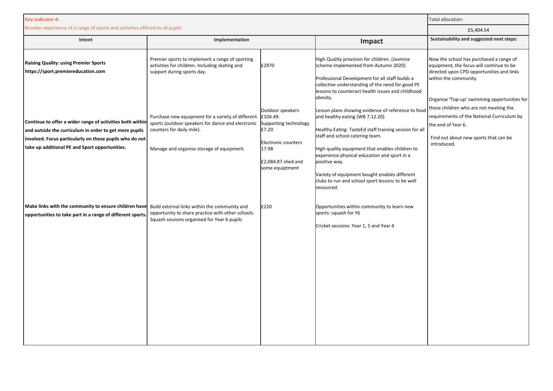| <b>Key indicator 4:</b>                                                                                                                                                                                                          |                                                                                                                                                                                  |                                                                                                                                         |                                                                                                                                                                                                                                                                                                                                                                                                                           | Total allocation:                                                                                                                                                                                         |
|----------------------------------------------------------------------------------------------------------------------------------------------------------------------------------------------------------------------------------|----------------------------------------------------------------------------------------------------------------------------------------------------------------------------------|-----------------------------------------------------------------------------------------------------------------------------------------|---------------------------------------------------------------------------------------------------------------------------------------------------------------------------------------------------------------------------------------------------------------------------------------------------------------------------------------------------------------------------------------------------------------------------|-----------------------------------------------------------------------------------------------------------------------------------------------------------------------------------------------------------|
| Broader experience of a range of sports and activities offered to all pupils                                                                                                                                                     |                                                                                                                                                                                  |                                                                                                                                         |                                                                                                                                                                                                                                                                                                                                                                                                                           | £5,404.54                                                                                                                                                                                                 |
| Intent                                                                                                                                                                                                                           | Implementation                                                                                                                                                                   |                                                                                                                                         | Impact                                                                                                                                                                                                                                                                                                                                                                                                                    | Sustainability and suggested next steps:                                                                                                                                                                  |
| <b>Raising Quality: using Premier Sports</b><br>https://sport.premiereducation.com                                                                                                                                               | Premier sports to implement a range of sporting<br>activities for children. Including skating and<br>support during sports day.                                                  | £2970                                                                                                                                   | High Quality provision for children. (Jasmine<br>scheme implemented from Autumn 2020)<br>Professional Development for all staff builds a<br>collective understanding of the need for good PE<br>lessons to counteract health issues and childhood<br>obesity.                                                                                                                                                             | Now the school has purchased a range of<br>equipment, the focus will continue to be<br>directed upon CPD opportunities and links<br>within the community.<br>Organise 'Top-up' swimming opportunities for |
| Continue to offer a wider range of activities both within<br>and outside the curriculum in order to get more pupils<br>involved. Focus particularly on those pupils who do not<br>take up additional PE and Sport opportunities. | Purchase new equipment for a variety of different<br>sports (outdoor speakers for dance and electronic<br>counters for daily mile).<br>Manage and organise storage of equipment. | Outdoor speakers<br>£104.49.<br>Supporting technology<br>£7.20<br>Electronic counters<br>17.98<br>£2,084.87 shed and<br>some equiptment | Lesson plans showing evidence of reference to food<br>and healthy eating (WB 7.12.20)<br>Healthy Eating: TasteEd staff training session for all<br>staff and school catering team.<br>High quality equipment that enables children to<br>experience physical education and sport in a<br>positive way.<br>Variety of equipment bought enables different<br>clubs to run and school sport lessons to be well<br>resourced. | those children who are not meeting the<br>requirements of the National Curriculum by<br>the end of Year 6.<br>Find out about new sports that can be<br>introduced.                                        |
| Make links with the community to ensure children have Build external links within the community and<br>opportunities to take part in a range of different sports                                                                 | opportunity to share practice with other schools.<br>Squash sessions organised for Year 6 pupils                                                                                 | £220                                                                                                                                    | Opportunities within community to learn new<br>sports: squash for Y6<br>Cricket sessions: Year 1, 5 and Year 4                                                                                                                                                                                                                                                                                                            |                                                                                                                                                                                                           |